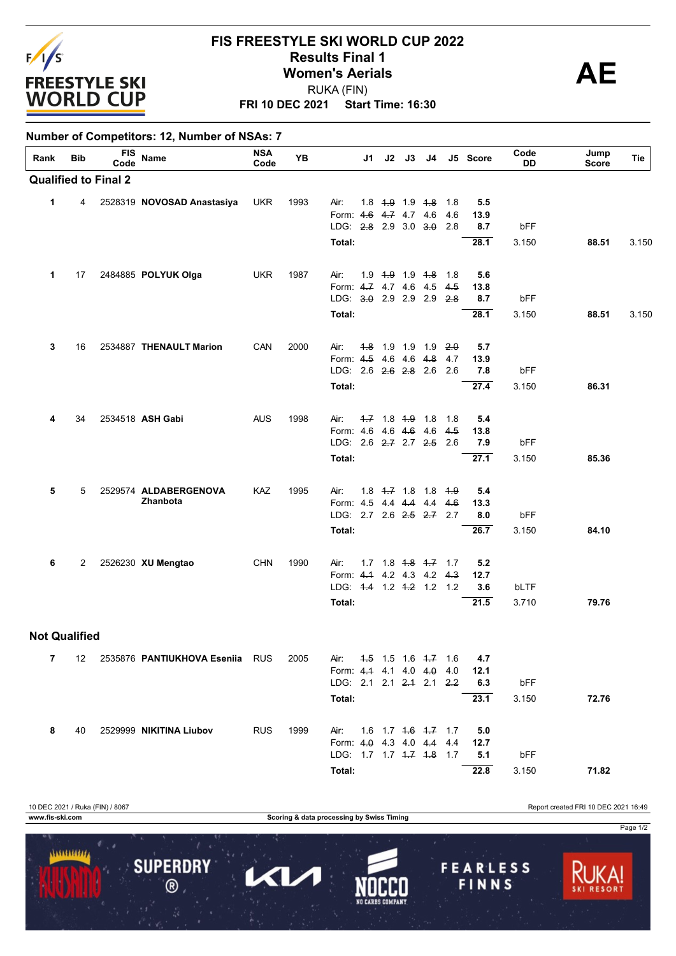

## **FRI 10 DEC 2021 Start Time: 16:30 FIS FREESTYLE SKI WORLD CUP 2022 Results Final 1**<br> **Women's Aerials**<br>
PUKA (FIN) RUKA (FIN)

## **Number of Competitors: 12, Number of NSAs: 7**

| Rank                 | Bib | <b>FIS</b><br>Code          | Name                            | <b>NSA</b><br>Code | YΒ   |                                                       | J2<br>J1                      | J3          | J4  |            | J5 Score    | Code<br>DD   | Jump<br>Score | Tie   |
|----------------------|-----|-----------------------------|---------------------------------|--------------------|------|-------------------------------------------------------|-------------------------------|-------------|-----|------------|-------------|--------------|---------------|-------|
|                      |     | <b>Qualified to Final 2</b> |                                 |                    |      |                                                       |                               |             |     |            |             |              |               |       |
| 1                    | 4   |                             | 2528319 NOVOSAD Anastasiya      | <b>UKR</b>         | 1993 | Air:<br>Form: 4.6                                     | $1.8$ $4.9$ $1.9$ $4.8$       | 4.7 4.7 4.6 |     | 1.8<br>4.6 | 5.5<br>13.9 |              |               |       |
|                      |     |                             |                                 |                    |      | LDG: 2.8 2.9 3.0 3.0<br>Total:                        |                               |             |     | 2.8        | 8.7<br>28.1 | bFF<br>3.150 | 88.51         | 3.150 |
|                      |     |                             |                                 |                    |      |                                                       |                               |             |     |            |             |              |               |       |
| 1                    | 17  |                             | 2484885 POLYUK Olga             | <b>UKR</b>         | 1987 | Air:                                                  | $1.9$ $1.9$ $1.9$ $1.8$       |             |     | 1.8        | 5.6         |              |               |       |
|                      |     |                             |                                 |                    |      | Form: 4.7 4.7 4.6 4.5<br>LDG: 3.0 2.9 2.9 2.9         |                               |             |     | 4.5<br>2.8 | 13.8<br>8.7 | bFF          |               |       |
|                      |     |                             |                                 |                    |      | Total:                                                |                               |             |     |            | 28.1        | 3.150        | 88.51         | 3.150 |
| 3                    | 16  |                             | 2534887 THENAULT Marion         | CAN                | 2000 | Air:                                                  | 4.8 1.9 1.9 1.9               |             |     | 2.0        | 5.7         |              |               |       |
|                      |     |                             |                                 |                    |      | Form: 4.5 4.6 4.6                                     |                               |             | 4.8 | 4.7        | 13.9        |              |               |       |
|                      |     |                             |                                 |                    |      | LDG: 2.6 2.6 2.8 2.6                                  |                               |             |     | 2.6        | 7.8<br>27.4 | bFF<br>3.150 | 86.31         |       |
|                      |     |                             |                                 |                    |      | Total:                                                |                               |             |     |            |             |              |               |       |
| 4                    | 34  |                             | 2534518 ASH Gabi                | <b>AUS</b>         | 1998 | Air:                                                  | $-7$ 1.8 $-1.8$ 1.8           |             |     | 1.8        | 5.4         |              |               |       |
|                      |     |                             |                                 |                    |      | Form: 4.6 4.6 4.6 4.6<br>LDG: 2.6 2.7 2.7 2.5         |                               |             |     | 4.5<br>2.6 | 13.8<br>7.9 | bFF          |               |       |
|                      |     |                             |                                 |                    |      | Total:                                                |                               |             |     |            | 27.1        | 3.150        | 85.36         |       |
| 5                    | 5   |                             | 2529574 ALDABERGENOVA           | KAZ                | 1995 | Air:                                                  | $1.8$ $4.7$ $1.8$             |             | 1.8 | 4.9        | 5.4         |              |               |       |
|                      |     |                             | Zhanbota                        |                    |      | Form: 4.5 4.4 4.4                                     |                               |             | 4.4 | 4.6        | 13.3        |              |               |       |
|                      |     |                             |                                 |                    |      | LDG: 2.7 2.6 2.5 2.7 2.7<br>Total:                    |                               |             |     |            | 8.0<br>26.7 | bFF<br>3.150 | 84.10         |       |
|                      |     |                             |                                 |                    |      |                                                       |                               |             |     |            |             |              |               |       |
| 6                    | 2   |                             | 2526230 XU Mengtao              | <b>CHN</b>         | 1990 | Air:<br>Form: 4.4 4.2 4.3 4.2                         | $1.7$ $1.8$ $1.8$ $1.7$ $1.7$ |             |     | 4.3        | 5.2<br>12.7 |              |               |       |
|                      |     |                             |                                 |                    |      | LDG: 4.4 1.2 4.2 1.2 1.2                              |                               |             |     |            | 3.6         | bLTF         |               |       |
|                      |     |                             |                                 |                    |      | Total:                                                |                               |             |     |            | 21.5        | 3.710        | 79.76         |       |
| <b>Not Qualified</b> |     |                             |                                 |                    |      |                                                       |                               |             |     |            |             |              |               |       |
| 7.                   | 12  |                             | 2535876 PANTIUKHOVA Eseniia RUS |                    | 2005 | Air: 4.5 1.5 1.6 4.7 1.6                              |                               |             |     |            | 4.7         |              |               |       |
|                      |     |                             |                                 |                    |      | Form: 4.4 4.1 4.0 4.0 4.0<br>LDG: 2.1 2.1 2.4 2.1 2.2 |                               |             |     |            | 12.1<br>6.3 | bFF          |               |       |
|                      |     |                             |                                 |                    |      | Total:                                                |                               |             |     |            | 23.1        | 3.150        | 72.76         |       |
|                      |     |                             |                                 |                    |      |                                                       |                               |             |     |            |             |              |               |       |
| 8                    | 40  |                             | 2529999 NIKITINA Liubov         | <b>RUS</b>         | 1999 | Air: 1.6 1.7 4.6 4.7 1.7<br>Form: 4.0 4.3 4.0 4.4 4.4 |                               |             |     |            | 5.0<br>12.7 |              |               |       |
|                      |     |                             |                                 |                    |      | LDG: 1.7 1.7 4.7 4.8 1.7                              |                               |             |     |            | 5.1         | bFF          |               |       |
|                      |     |                             |                                 |                    |      | Total:                                                |                               |             |     |            | 22.8        | 3.150        | 71.82         |       |